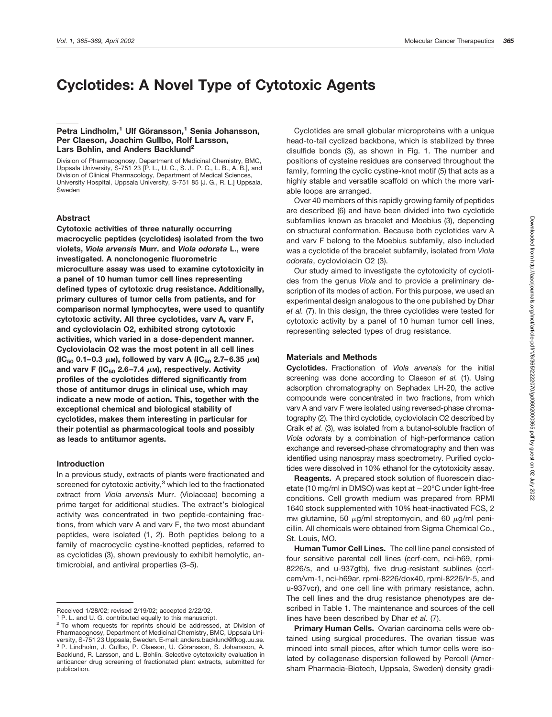# **Cyclotides: A Novel Type of Cytotoxic Agents**

# **Petra Lindholm,<sup>1</sup> Ulf Göransson,<sup>1</sup> Senia Johansson, Per Claeson, Joachim Gullbo, Rolf Larsson,** Lars Bohlin, and Anders Backlund<sup>2</sup>

Division of Pharmacognosy, Department of Medicinal Chemistry, BMC, Uppsala University, S-751 23 [P. L., U. G., S. J., P. C., L. B., A. B.], and Division of Clinical Pharmacology, Department of Medical Sciences, University Hospital, Uppsala University, S-751 85 [J. G., R. L.] Uppsala, Sweden

# **Abstract**

**Cytotoxic activities of three naturally occurring macrocyclic peptides (cyclotides) isolated from the two violets,** *Viola arvensis* **Murr. and** *Viola odorata* **L., were investigated. A nonclonogenic fluorometric microculture assay was used to examine cytotoxicity in a panel of 10 human tumor cell lines representing defined types of cytotoxic drug resistance. Additionally, primary cultures of tumor cells from patients, and for comparison normal lymphocytes, were used to quantify cytotoxic activity. All three cyclotides, varv A, varv F, and cycloviolacin O2, exhibited strong cytotoxic activities, which varied in a dose-dependent manner. Cycloviolacin O2 was the most potent in all cell lines**  $(IC_{50}$  0.1–0.3  $\mu$ m), followed by varv A  $(IC_{50}$  2.7–6.35  $\mu$ m) and varv F (IC<sub>50</sub> 2.6–7.4  $\mu$ m), respectively. Activity **profiles of the cyclotides differed significantly from those of antitumor drugs in clinical use, which may indicate a new mode of action. This, together with the exceptional chemical and biological stability of cyclotides, makes them interesting in particular for their potential as pharmacological tools and possibly as leads to antitumor agents.**

# **Introduction**

In a previous study, extracts of plants were fractionated and screened for cytotoxic activity, $3$  which led to the fractionated extract from *Viola arvensis* Murr. (Violaceae) becoming a prime target for additional studies. The extract's biological activity was concentrated in two peptide-containing fractions, from which varv A and varv F, the two most abundant peptides, were isolated (1, 2). Both peptides belong to a family of macrocyclic cystine-knotted peptides, referred to as cyclotides (3), shown previously to exhibit hemolytic, antimicrobial, and antiviral properties (3–5).

Cyclotides are small globular microproteins with a unique head-to-tail cyclized backbone, which is stabilized by three disulfide bonds (3), as shown in Fig. 1. The number and positions of cysteine residues are conserved throughout the family, forming the cyclic cystine-knot motif (5) that acts as a highly stable and versatile scaffold on which the more variable loops are arranged.

Over 40 members of this rapidly growing family of peptides are described (6) and have been divided into two cyclotide subfamilies known as bracelet and Moebius (3), depending on structural conformation. Because both cyclotides varv A and varv F belong to the Moebius subfamily, also included was a cyclotide of the bracelet subfamily, isolated from *Viola odorata*, cycloviolacin O2 (3).

Our study aimed to investigate the cytotoxicity of cyclotides from the genus *Viola* and to provide a preliminary description of its modes of action. For this purpose, we used an experimental design analogous to the one published by Dhar *et al.* (7). In this design, the three cyclotides were tested for cytotoxic activity by a panel of 10 human tumor cell lines, representing selected types of drug resistance.

#### **Materials and Methods**

**Cyclotides.** Fractionation of *Viola arvensis* for the initial screening was done according to Claeson *et al.* (1). Using adsorption chromatography on Sephadex LH-20, the active compounds were concentrated in two fractions, from which varv A and varv F were isolated using reversed-phase chromatography (2). The third cyclotide, cycloviolacin O2 described by Craik *et al.* (3), was isolated from a butanol-soluble fraction of *Viola odorata* by a combination of high-performance cation exchange and reversed-phase chromatography and then was identified using nanospray mass spectrometry. Purified cyclotides were dissolved in 10% ethanol for the cytotoxicity assay.

**Reagents.** A prepared stock solution of fluorescein diacetate (10 mg/ml in DMSO) was kept at  $-20^{\circ}$ C under light-free conditions. Cell growth medium was prepared from RPMI 1640 stock supplemented with 10% heat-inactivated FCS, 2 mm glutamine, 50  $\mu$ g/ml streptomycin, and 60  $\mu$ g/ml penicillin. All chemicals were obtained from Sigma Chemical Co., St. Louis, MO.

**Human Tumor Cell Lines.** The cell line panel consisted of four sensitive parental cell lines (ccrf-cem, nci-h69, rpmi-8226/s, and u-937gtb), five drug-resistant sublines (ccrfcem/vm-1, nci-h69ar, rpmi-8226/dox40, rpmi-8226/lr-5, and u-937vcr), and one cell line with primary resistance, achn. The cell lines and the drug resistance phenotypes are described in Table 1. The maintenance and sources of the cell lines have been described by Dhar *et al.* (7).

**Primary Human Cells.** Ovarian carcinoma cells were obtained using surgical procedures. The ovarian tissue was minced into small pieces, after which tumor cells were isolated by collagenase dispersion followed by Percoll (Amersham Pharmacia-Biotech, Uppsala, Sweden) density gradi-

Received 1/28/02; revised 2/19/02; accepted 2/22/02.

P. L. and U. G. contributed equally to this manuscript.

<sup>2</sup> To whom requests for reprints should be addressed, at Division of Pharmacognosy, Department of Medicinal Chemistry, BMC, Uppsala University, S-751 23 Uppsala, Sweden. E-mail: anders.backlund@fkog.uu.se. <sup>3</sup> P. Lindholm, J. Gullbo, P. Claeson, U. Göransson, S. Johansson, A. Backlund, R. Larsson, and L. Bohlin. Selective cytotoxicity evaluation in anticancer drug screening of fractionated plant extracts, submitted for publication.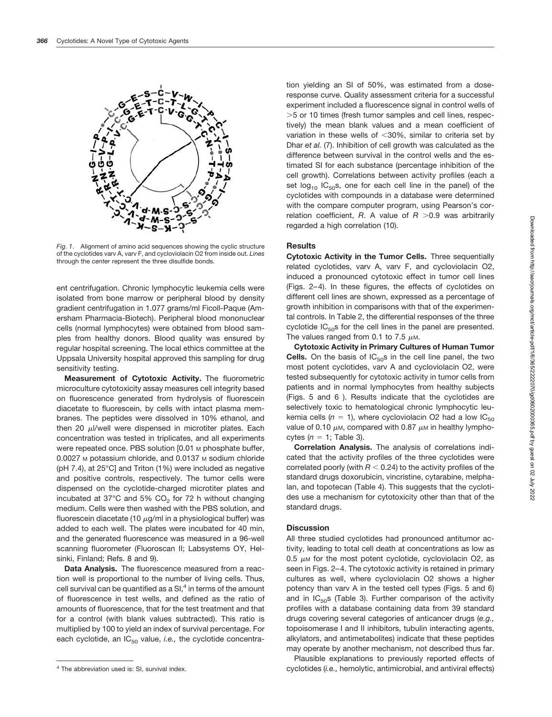

*Fig. 1*. Alignment of amino acid sequences showing the cyclic structure of the cyclotides varv A, varv F, and cycloviolacin O2 from inside out. *Lines* through the *center* represent the three disulfide bonds.

ent centrifugation. Chronic lymphocytic leukemia cells were isolated from bone marrow or peripheral blood by density gradient centrifugation in 1.077 grams/ml Ficoll-Paque (Amersham Pharmacia-Biotech). Peripheral blood mononuclear cells (normal lymphocytes) were obtained from blood samples from healthy donors. Blood quality was ensured by regular hospital screening. The local ethics committee at the Uppsala University hospital approved this sampling for drug sensitivity testing.

**Measurement of Cytotoxic Activity.** The fluorometric microculture cytotoxicity assay measures cell integrity based on fluorescence generated from hydrolysis of fluorescein diacetate to fluorescein, by cells with intact plasma membranes. The peptides were dissolved in 10% ethanol, and then 20  $\mu$ I/well were dispensed in microtiter plates. Each concentration was tested in triplicates, and all experiments were repeated once. PBS solution [0.01 M phosphate buffer, 0.0027 M potassium chloride, and 0.0137 M sodium chloride (pH 7.4), at 25°C] and Triton (1%) were included as negative and positive controls, respectively. The tumor cells were dispensed on the cyclotide-charged microtiter plates and incubated at 37 $\degree$ C and 5% CO<sub>2</sub> for 72 h without changing medium. Cells were then washed with the PBS solution, and fluorescein diacetate (10  $\mu$ g/ml in a physiological buffer) was added to each well. The plates were incubated for 40 min, and the generated fluorescence was measured in a 96-well scanning fluorometer (Fluoroscan II; Labsystems OY, Helsinki, Finland; Refs. 8 and 9).

**Data Analysis.** The fluorescence measured from a reaction well is proportional to the number of living cells. Thus, cell survival can be quantified as a  $SI<sup>4</sup>$  in terms of the amount of fluorescence in test wells, and defined as the ratio of amounts of fluorescence, that for the test treatment and that for a control (with blank values subtracted). This ratio is multiplied by 100 to yield an index of survival percentage. For each cyclotide, an IC<sub>50</sub> value, *i.e.*, the cyclotide concentration yielding an SI of 50%, was estimated from a doseresponse curve. Quality assessment criteria for a successful experiment included a fluorescence signal in control wells of -5 or 10 times (fresh tumor samples and cell lines, respectively) the mean blank values and a mean coefficient of variation in these wells of  $<$ 30%, similar to criteria set by Dhar *et al.* (7). Inhibition of cell growth was calculated as the difference between survival in the control wells and the estimated SI for each substance (percentage inhibition of the cell growth). Correlations between activity profiles (each a set  $log_{10}$  IC<sub>50</sub>s, one for each cell line in the panel) of the cyclotides with compounds in a database were determined with the compare computer program, using Pearson's correlation coefficient, R. A value of R >0.9 was arbitrarily regarded a high correlation (10).

### **Results**

**Cytotoxic Activity in the Tumor Cells.** Three sequentially related cyclotides, varv A, varv F, and cycloviolacin O2, induced a pronounced cytotoxic effect in tumor cell lines (Figs. 2–4). In these figures, the effects of cyclotides on different cell lines are shown, expressed as a percentage of growth inhibition in comparisons with that of the experimental controls. In Table 2, the differential responses of the three cyclotide  $IC_{50}$ s for the cell lines in the panel are presented. The values ranged from 0.1 to 7.5  $\mu$ M.

**Cytotoxic Activity in Primary Cultures of Human Tumor Cells.** On the basis of  $IC_{50}$ s in the cell line panel, the two most potent cyclotides, varv A and cycloviolacin O2, were tested subsequently for cytotoxic activity in tumor cells from patients and in normal lymphocytes from healthy subjects (Figs. 5 and 6 ). Results indicate that the cyclotides are selectively toxic to hematological chronic lymphocytic leukemia cells ( $n = 1$ ), where cycloviolacin O2 had a low  $IC_{50}$ value of 0.10  $\mu$ m, compared with 0.87  $\mu$ m in healthy lymphocytes  $(n = 1;$  Table 3).

**Correlation Analysis.** The analysis of correlations indicated that the activity profiles of the three cyclotides were correlated poorly (with  $R < 0.24$ ) to the activity profiles of the standard drugs doxorubicin, vincristine, cytarabine, melphalan, and topotecan (Table 4). This suggests that the cyclotides use a mechanism for cytotoxicity other than that of the standard drugs.

# **Discussion**

All three studied cyclotides had pronounced antitumor activity, leading to total cell death at concentrations as low as 0.5  $\mu$ M for the most potent cyclotide, cycloviolacin O2, as seen in Figs. 2–4. The cytotoxic activity is retained in primary cultures as well, where cycloviolacin O2 shows a higher potency than varv A in the tested cell types (Figs. 5 and 6) and in  $IC_{50}$ s (Table 3). Further comparison of the activity profiles with a database containing data from 39 standard drugs covering several categories of anticancer drugs (*e.g.,* topoisomerase I and II inhibitors, tubulin interacting agents, alkylators, and antimetabolites) indicate that these peptides may operate by another mechanism, not described thus far.

Plausible explanations to previously reported effects of <sup>4</sup> The abbreviation used is: SI, survival index. **According the abbreviation used is: SI**, survival index.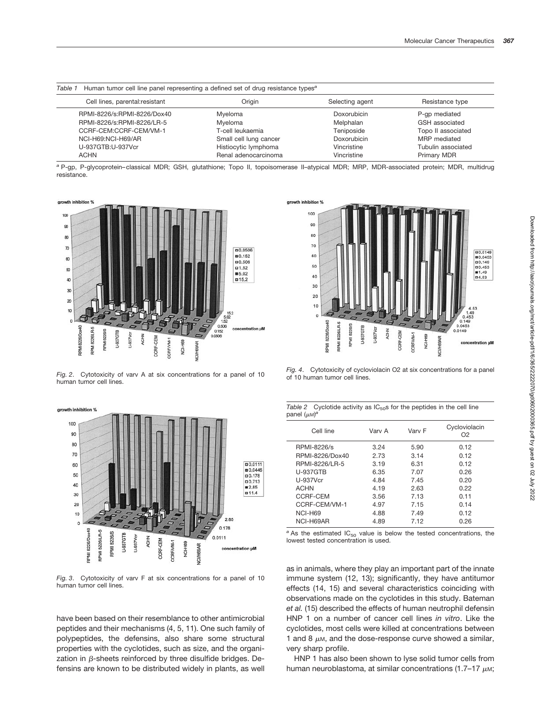| Table 1     |                                 | Human tumor cell line panel representing a defined set of drug resistance types <sup>a</sup> |                 |                    |
|-------------|---------------------------------|----------------------------------------------------------------------------------------------|-----------------|--------------------|
|             | Cell lines, parental: resistant | Origin                                                                                       | Selecting agent | Resistance type    |
|             | RPMI-8226/s:RPMI-8226/Dox40     | Myeloma                                                                                      | Doxorubicin     | P-qp mediated      |
|             | RPMI-8226/s:RPMI-8226/LR-5      | Mveloma                                                                                      | Melphalan       | GSH associated     |
|             | CCRF-CEM:CCRF-CEM/VM-1          | T-cell leukaemia                                                                             | Teniposide      | Topo II associated |
|             | NCI-H69:NCI-H69/AR              | Small cell lung cancer                                                                       | Doxorubicin     | MRP mediated       |
|             | U-937GTB:U-937Vcr               | Histiocytic lymphoma                                                                         | Vincristine     | Tubulin associated |
| <b>ACHN</b> |                                 | Renal adenocarcinoma                                                                         | Vincristine     | Primary MDR        |

*<sup>a</sup>* P-gp, P-glycoprotein–classical MDR; GSH, glutathione; Topo II, topoisomerase II–atypical MDR; MRP, MDR-associated protein; MDR, multidrug resistance.



*Fig. 2*. Cytotoxicity of varv A at six concentrations for a panel of 10 human tumor cell lines.

growth inhibition %



*Fig. 3*. Cytotoxicity of varv F at six concentrations for a panel of 10 human tumor cell lines.

have been based on their resemblance to other antimicrobial peptides and their mechanisms (4, 5, 11). One such family of polypeptides, the defensins, also share some structural properties with the cyclotides, such as size, and the organization in  $\beta$ -sheets reinforced by three disulfide bridges. Defensins are known to be distributed widely in plants, as well



*Fig. 4*. Cytotoxicity of cycloviolacin O2 at six concentrations for a panel of 10 human tumor cell lines.

|                                 |  |  | Table 2 Cyclotide activity as $IC_{50}$ s for the peptides in the cell line |  |
|---------------------------------|--|--|-----------------------------------------------------------------------------|--|
| panel $(\mu$ <sub>M</sub> $)^a$ |  |  |                                                                             |  |

| Cell line       | Varv A | Varv F | Cycloviolacin<br>O <sub>2</sub> |
|-----------------|--------|--------|---------------------------------|
| RPMI-8226/s     | 3.24   | 5.90   | 0.12                            |
| RPMI-8226/Dox40 | 2.73   | 3.14   | 0.12                            |
| RPMI-8226/LR-5  | 3.19   | 6.31   | 0.12                            |
| <b>U-937GTB</b> | 6.35   | 7.07   | 0.26                            |
| U-937Vcr        | 4.84   | 7.45   | 0.20                            |
| <b>ACHN</b>     | 4.19   | 2.63   | 0.22                            |
| CCRF-CEM        | 3.56   | 7.13   | 0.11                            |
| CCRF-CEM/VM-1   | 4.97   | 7.15   | 0.14                            |
| NCI-H69         | 4.88   | 7.49   | 0.12                            |
| NCI-H69AR       | 4.89   | 7.12   | 0.26                            |

 $a^2$  As the estimated IC<sub>50</sub> value is below the tested concentrations, the lowest tested concentration is used.

as in animals, where they play an important part of the innate immune system (12, 13); significantly, they have antitumor effects (14, 15) and several characteristics coinciding with observations made on the cyclotides in this study. Bateman *et al.* (15) described the effects of human neutrophil defensin HNP 1 on a number of cancer cell lines *in vitro*. Like the cyclotides, most cells were killed at concentrations between 1 and 8  $\mu$ M, and the dose-response curve showed a similar, very sharp profile.

HNP 1 has also been shown to lyse solid tumor cells from human neuroblastoma, at similar concentrations (1.7–17  $\mu$ M;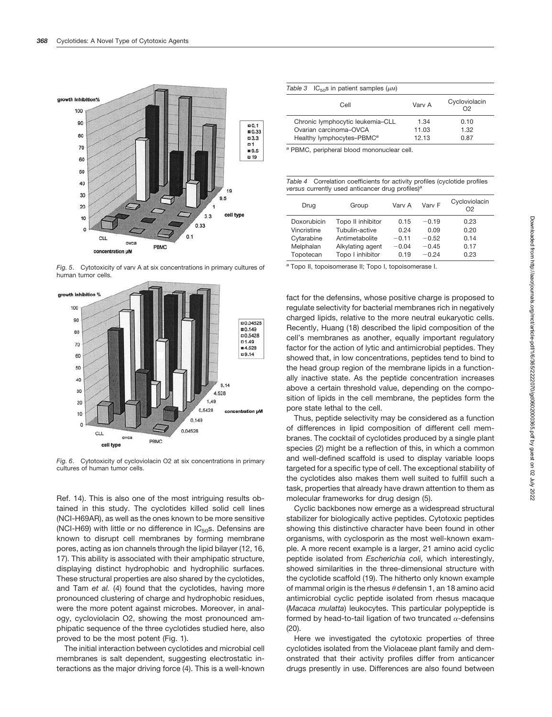

*Fig. 5*. Cytotoxicity of varv A at six concentrations in primary cultures of human tumor cells.



*Fig. 6*. Cytotoxicity of cycloviolacin O2 at six concentrations in primary cultures of human tumor cells.

Ref. 14). This is also one of the most intriguing results obtained in this study. The cyclotides killed solid cell lines (NCI-H69AR), as well as the ones known to be more sensitive (NCI-H69) with little or no difference in  $IC_{50}$ s. Defensins are known to disrupt cell membranes by forming membrane pores, acting as ion channels through the lipid bilayer (12, 16, 17). This ability is associated with their amphipatic structure, displaying distinct hydrophobic and hydrophilic surfaces. These structural properties are also shared by the cyclotides, and Tam *et al.* (4) found that the cyclotides, having more pronounced clustering of charge and hydrophobic residues, were the more potent against microbes. Moreover, in analogy, cycloviolacin O2, showing the most pronounced amphipatic sequence of the three cyclotides studied here, also proved to be the most potent (Fig. 1).

The initial interaction between cyclotides and microbial cell membranes is salt dependent, suggesting electrostatic interactions as the major driving force (4). This is a well-known

| Table 3<br>$IC_{50}$ s in patient samples ( $\mu$ M) |  |  |
|------------------------------------------------------|--|--|
|------------------------------------------------------|--|--|

| Cell                                                       | Varv A        | Cycloviolacin<br>ဂာ |
|------------------------------------------------------------|---------------|---------------------|
| Chronic lymphocytic leukemia-CLL<br>Ovarian carcinoma-OVCA | 1.34<br>11.03 | 0.10<br>1.32        |
| Healthy lymphocytes-PBMC <sup>a</sup>                      | 12.13         | 0.87                |

*<sup>a</sup>* PBMC, peripheral blood mononuclear cell.

*Table 4* Correlation coefficients for activity profiles (cyclotide profiles *versus* currently used anticancer drug profiles)*<sup>a</sup>*

| Drug        | Group             | Varv A  | Varv F  | Cycloviolacin<br>O2 |
|-------------|-------------------|---------|---------|---------------------|
| Doxorubicin | Topo II inhibitor | 0.15    | $-0.19$ | 0.23                |
| Vincristine | Tubulin-active    | 0.24    | 0.09    | 0.20                |
| Cytarabine  | Antimetabolite    | $-0.11$ | $-0.52$ | 0.14                |
| Melphalan   | Alkylating agent  | $-0.04$ | $-0.45$ | 0.17                |
| Topotecan   | Topo I inhibitor  | 0.19    | $-0.24$ | 0.23                |

*<sup>a</sup>* Topo II, topoisomerase II; Topo I, topoisomerase I.

fact for the defensins, whose positive charge is proposed to regulate selectivity for bacterial membranes rich in negatively charged lipids, relative to the more neutral eukaryotic cells. Recently, Huang (18) described the lipid composition of the cell's membranes as another, equally important regulatory factor for the action of lytic and antimicrobial peptides. They showed that, in low concentrations, peptides tend to bind to the head group region of the membrane lipids in a functionally inactive state. As the peptide concentration increases above a certain threshold value, depending on the composition of lipids in the cell membrane, the peptides form the pore state lethal to the cell.

Thus, peptide selectivity may be considered as a function of differences in lipid composition of different cell membranes. The cocktail of cyclotides produced by a single plant species (2) might be a reflection of this, in which a common and well-defined scaffold is used to display variable loops targeted for a specific type of cell. The exceptional stability of the cyclotides also makes them well suited to fulfill such a task, properties that already have drawn attention to them as molecular frameworks for drug design (5).

Cyclic backbones now emerge as a widespread structural stabilizer for biologically active peptides. Cytotoxic peptides showing this distinctive character have been found in other organisms, with cyclosporin as the most well-known example. A more recent example is a larger, 21 amino acid cyclic peptide isolated from *Escherichia coli,* which interestingly, showed similarities in the three-dimensional structure with the cyclotide scaffold (19). The hitherto only known example of mammal origin is the rhesus  $\theta$  defensin 1, an 18 amino acid antimicrobial cyclic peptide isolated from rhesus macaque (*Macaca mulatta*) leukocytes. This particular polypeptide is formed by head-to-tail ligation of two truncated  $\alpha$ -defensins (20).

Here we investigated the cytotoxic properties of three cyclotides isolated from the Violaceae plant family and demonstrated that their activity profiles differ from anticancer drugs presently in use. Differences are also found between